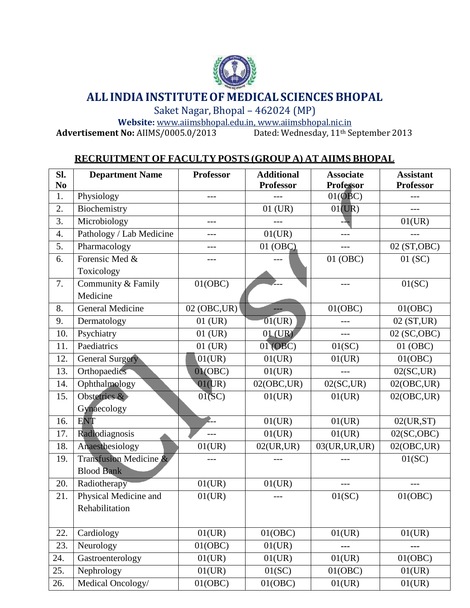

# **ALL INDIAINSTITUTEOF MEDICALSCIENCES BHOPAL**

Saket Nagar, Bhopal – 462024 (MP)

Website: [www.aiimsbhopal.edu.in, ww](http://www.aiimsbhopal.edu.in/)w.aiimsbhopal.nic.in<br> **t No:** AIIMS/0005.0/2013 Dated: Wednesday, 11<sup>th</sup> September 2013 **Advertisement No:** AIIMS/0005.0/2013

## **RECRUITMENT OF FACULTY POSTS (GROUP A) AT AIIMS BHOPAL**

| Sl.<br>N <sub>0</sub> | <b>Department Name</b>   | <b>Professor</b> | <b>Additional</b><br><b>Professor</b> | <b>Associate</b><br><b>Professor</b> | <b>Assistant</b><br><b>Professor</b> |
|-----------------------|--------------------------|------------------|---------------------------------------|--------------------------------------|--------------------------------------|
| 1.                    | Physiology               | ---              |                                       | 01(OBC)                              |                                      |
| 2.                    | Biochemistry             |                  | 01 (UR)                               | 01(UR)                               |                                      |
| 3.                    | Microbiology             | $---$            |                                       |                                      | 01(UR)                               |
| 4.                    | Pathology / Lab Medicine | ---              | 01(UR)                                |                                      |                                      |
| 5.                    | Pharmacology             |                  | 01 (OBC)                              |                                      | 02 (ST, OBC)                         |
| 6.                    | Forensic Med &           | ---              |                                       | 01 (OBC)                             | 01(SC)                               |
|                       | Toxicology               |                  |                                       |                                      |                                      |
| 7.                    | Community & Family       | 01(OBC)          |                                       | $---$                                | 01(SC)                               |
|                       | Medicine                 |                  |                                       |                                      |                                      |
| 8.                    | <b>General Medicine</b>  | 02 (OBC, UR)     |                                       | 01(OBC)                              | 01(OBC)                              |
| 9.                    | Dermatology              | $01$ (UR)        | 01(UR)                                | $---$                                | 02(ST,UR)                            |
| 10.                   | Psychiatry               | $01$ (UR)        | $01$ (UR)                             | $---$                                | 02 (SC, OBC)                         |
| 11.                   | Paediatrics              | $01$ (UR)        | 01 (OBC)                              | 01(SC)                               | 01 (OBC)                             |
| 12.                   | <b>General Surgery</b>   | 01(UR)           | 01(UR)                                | 01(UR)                               | 01(OBC)                              |
| 13.                   | Orthopaedics             | 01(OBC)          | 01(UR)                                |                                      | 02(SC,UR)                            |
| 14.                   | Ophthalmology            | 01(UR)           | 02(OBC, UR)                           | $02$ (SC,UR)                         | 02(OBC, UR)                          |
| 15.                   | Obstetrics &             | $01$ (SC)        | 01(UR)                                | 01(UR)                               | 02(OBC, UR)                          |
|                       | Gynaecology              |                  |                                       |                                      |                                      |
| 16.                   | <b>ENT</b>               | P                | 01(UR)                                | 01(UR)                               | 02(UR, ST)                           |
| 17.                   | Radiodiagnosis           | $---$            | 01(UR)                                | 01(UR)                               | 02(SC, OBC)                          |
| 18.                   | Anaesthesiology          | 01(UR)           | 02(UR,UR)                             | 03(UR, UR, UR)                       | 02(OBC, UR)                          |
| 19.                   | Transfusion Medicine &   | ---              |                                       |                                      | 01(SC)                               |
|                       | <b>Blood Bank</b>        |                  |                                       |                                      |                                      |
| 20.                   | Radiotherapy             | 01(UR)           | 01(UR)                                |                                      |                                      |
| 21.                   | Physical Medicine and    | 01(UR)           |                                       | 01(SC)                               | 01(OBC)                              |
|                       | Rehabilitation           |                  |                                       |                                      |                                      |
|                       |                          |                  |                                       |                                      |                                      |
| 22.                   | Cardiology               | 01(UR)           | 01(OBC)                               | 01(UR)                               | 01(UR)                               |
| 23.                   | Neurology                | 01(OBC)          | 01(UR)                                |                                      | ---                                  |
| 24.                   | Gastroenterology         | 01(UR)           | 01(UR)                                | 01(UR)                               | 01(OBC)                              |
| 25.                   | Nephrology               | 01(UR)           | 01(SC)                                | 01(OBC)                              | 01(UR)                               |
| 26.                   | Medical Oncology/        | 01(OBC)          | 01(OBC)                               | 01(UR)                               | 01(UR)                               |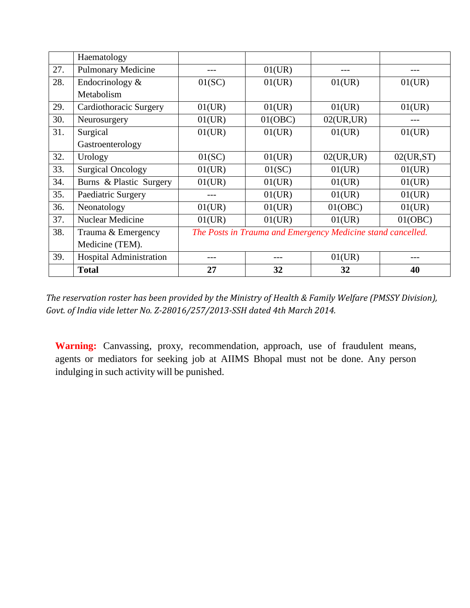|     | Haematology               |                                                             |         |           |           |
|-----|---------------------------|-------------------------------------------------------------|---------|-----------|-----------|
| 27. | <b>Pulmonary Medicine</b> | ---                                                         | 01(UR)  |           |           |
| 28. | Endocrinology $&$         | 01(SC)                                                      | 01(UR)  | 01(UR)    | 01(UR)    |
|     | Metabolism                |                                                             |         |           |           |
| 29. | Cardiothoracic Surgery    | 01(UR)                                                      | 01(UR)  | 01(UR)    | 01(UR)    |
| 30. | Neurosurgery              | 01(UR)                                                      | 01(OBC) | 02(UR,UR) |           |
| 31. | Surgical                  | 01(UR)                                                      | 01(UR)  | 01(UR)    | 01(UR)    |
|     | Gastroenterology          |                                                             |         |           |           |
| 32. | Urology                   | 01(SC)                                                      | 01(UR)  | 02(UR,UR) | 02(UR,ST) |
| 33. | <b>Surgical Oncology</b>  | 01(UR)                                                      | 01(SC)  | 01(UR)    | 01(UR)    |
| 34. | Burns & Plastic Surgery   | 01(UR)                                                      | 01(UR)  | 01(UR)    | 01(UR)    |
| 35. | Paediatric Surgery        |                                                             | 01(UR)  | 01(UR)    | 01(UR)    |
| 36. | Neonatology               | 01(UR)                                                      | 01(UR)  | 01(OBC)   | 01(UR)    |
| 37. | <b>Nuclear Medicine</b>   | 01(UR)                                                      | 01(UR)  | 01(UR)    | 01(OBC)   |
| 38. | Trauma & Emergency        | The Posts in Trauma and Emergency Medicine stand cancelled. |         |           |           |
|     | Medicine (TEM).           |                                                             |         |           |           |
| 39. | Hospital Administration   | ---                                                         | ---     | 01(UR)    |           |
|     | <b>Total</b>              | 27                                                          | 32      | 32        | 40        |

*The reservation roster has been provided by the Ministry of Health & Family Welfare (PMSSY Division), Govt. of India vide letter No. Z-28016/257/2013-SSH dated 4th March 2014.*

**Warning:** Canvassing, proxy, recommendation, approach, use of fraudulent means, agents or mediators for seeking job at AIIMS Bhopal must not be done. Any person indulging in such activity will be punished.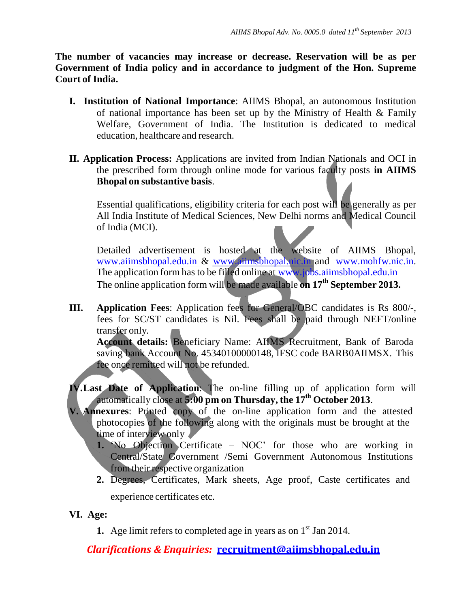**The number of vacancies may increase or decrease. Reservation will be as per Government of India policy and in accordance to judgment of the Hon. Supreme Court of India.**

- **I. Institution of National Importance**: AIIMS Bhopal, an autonomous Institution of national importance has been set up by the Ministry of Health & Family Welfare, Government of India. The Institution is dedicated to medical education, healthcare and research.
- **II. Application Process:** Applications are invited from Indian Nationals and OCI in the prescribed form through online mode for various faculty posts **in AIIMS Bhopal on substantive basis**.

Essential qualifications, eligibility criteria for each post will be generally as per All India Institute of Medical Sciences, New Delhi norms and Medical Council of India (MCI).

Detailed advertisement is hosted at the website of AIIMS Bhopal, [www.aiimsbhopal.edu.in](http://www.aiimsbhopal.edu.in/) & [www.aiimsbhopal.nic.in](http://www.aiimsbhopal.nic.in/) and [www.mohfw.nic.in.](http://www.mohfw.nic.in/) The application form has to be filled online at [www.jobs.aiimsbhopal.edu.in](http://www.jobs.aiimsbhopal.edu.in/) The online application form will be made available **on 17th September 2013.**

**III. Application Fees**: Application fees for General/OBC candidates is Rs 800/-, fees for SC/ST candidates is Nil. Fees shall be paid through NEFT/online transfer only.

**Account details:** Beneficiary Name: AIIMS Recruitment, Bank of Baroda saving bank Account No. 45340100000148, IFSC code BARB0AIIMSX. This fee once remitted will not be refunded.

**IV.Last Date of Application**: The on-line filling up of application form will automatically close at **5:00 pm on Thursday, the 17th October 2013**.

- **V. Annexures**: Printed copy of the on-line application form and the attested photocopies of the following along with the originals must be brought at the time of interview only
	- **1.** 'No Objection Certificate NOC' for those who are working in Central/State Government /Semi Government Autonomous Institutions from their respective organization
	- **2.** Degrees, Certificates, Mark sheets, Age proof, Caste certificates and experience certificates etc.

**VI. Age:**

**1.** Age limit refers to completed age in years as on  $1<sup>st</sup>$  Jan 2014.

*Clarifications & Enquiries:* **[recruitment@aiimsbhopal.edu.in](mailto:recruitment@aiimsbhopal.edu.in)**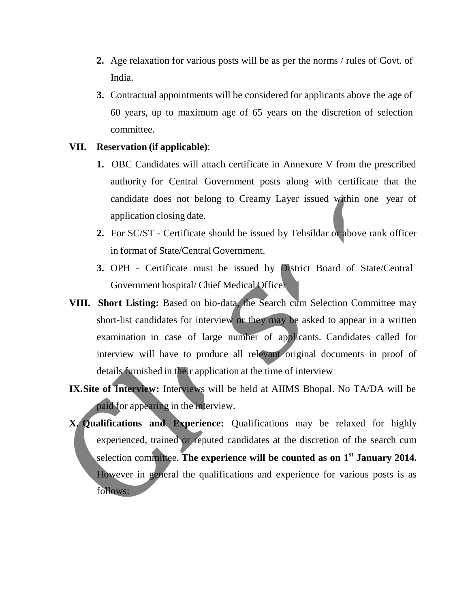- **2.** Age relaxation for various posts will be as per the norms / rules of Govt. of India.
- **3.** Contractual appointments will be considered for applicants above the age of 60 years, up to maximum age of 65 years on the discretion of selection committee.

#### **VII. Reservation (if applicable)**:

- **1.** OBC Candidates will attach certificate in Annexure V from the prescribed authority for Central Government posts along with certificate that the candidate does not belong to Creamy Layer issued within one year of application closing date.
- **2.** For SC/ST Certificate should be issued by Tehsildar or above rank officer in format of State/Central Government.
- **3.** OPH Certificate must be issued by District Board of State/Central Government hospital/ Chief Medical Officer
- **VIII. Short Listing:** Based on bio-data, the Search cum Selection Committee may short-list candidates for interview or they may be asked to appear in a written examination in case of large number of applicants. Candidates called for interview will have to produce all relevant original documents in proof of details furnished in their application at the time of interview
- **IX.Site of Interview:** Interviews will be held at AIIMS Bhopal. No TA/DA will be paid for appearing in the interview.
- **X. Qualifications and Experience:** Qualifications may be relaxed for highly experienced, trained or reputed candidates at the discretion of the search cum selection committee. **The experience will be counted as on 1 st January 2014.**  However in general the qualifications and experience for various posts is as follows: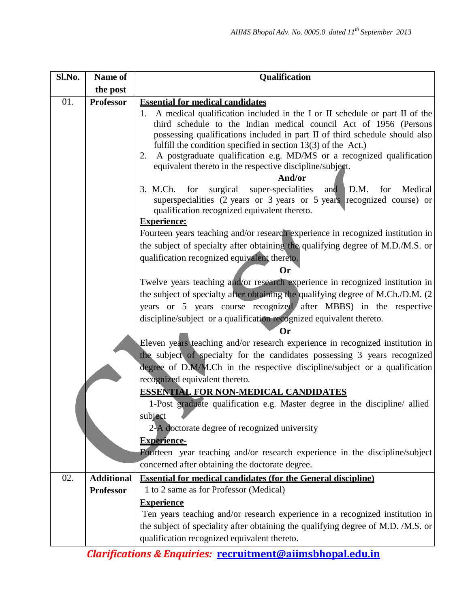| Sl.No. | Name of           | Qualification                                                                                                                                                                                                                                                                                                                                                                                                                                                                                                                                                                                                                                                                                                                                                                                                                                                                                                                                                                                                                                                                                                                                                                                                                                                                                                                                                                                                                                                                                                                                                                                                                                                                                                                                                                              |
|--------|-------------------|--------------------------------------------------------------------------------------------------------------------------------------------------------------------------------------------------------------------------------------------------------------------------------------------------------------------------------------------------------------------------------------------------------------------------------------------------------------------------------------------------------------------------------------------------------------------------------------------------------------------------------------------------------------------------------------------------------------------------------------------------------------------------------------------------------------------------------------------------------------------------------------------------------------------------------------------------------------------------------------------------------------------------------------------------------------------------------------------------------------------------------------------------------------------------------------------------------------------------------------------------------------------------------------------------------------------------------------------------------------------------------------------------------------------------------------------------------------------------------------------------------------------------------------------------------------------------------------------------------------------------------------------------------------------------------------------------------------------------------------------------------------------------------------------|
|        | the post          |                                                                                                                                                                                                                                                                                                                                                                                                                                                                                                                                                                                                                                                                                                                                                                                                                                                                                                                                                                                                                                                                                                                                                                                                                                                                                                                                                                                                                                                                                                                                                                                                                                                                                                                                                                                            |
| 01.    | <b>Professor</b>  | <b>Essential for medical candidates</b><br>1. A medical qualification included in the I or II schedule or part II of the<br>third schedule to the Indian medical council Act of 1956 (Persons<br>possessing qualifications included in part II of third schedule should also<br>fulfill the condition specified in section $13(3)$ of the Act.)<br>A postgraduate qualification e.g. MD/MS or a recognized qualification<br>2.<br>equivalent thereto in the respective discipline/subject.<br>And/or<br>surgical<br>super-specialities<br>D.M.<br>Medical<br>3. M.Ch.<br>for<br>for<br>and<br>superspecialities (2 years or 3 years or 5 years recognized course) or<br>qualification recognized equivalent thereto.<br><b>Experience:</b><br>Fourteen years teaching and/or research experience in recognized institution in<br>the subject of specialty after obtaining the qualifying degree of M.D./M.S. or<br>qualification recognized equivalent thereto.<br>Or<br>Twelve years teaching and/or research experience in recognized institution in<br>the subject of specialty after obtaining the qualifying degree of M.Ch./D.M. (2)<br>years or 5 years course recognized after MBBS) in the respective<br>discipline/subject or a qualification recognized equivalent thereto.<br>()r<br>Eleven years teaching and/or research experience in recognized institution in<br>the subject of specialty for the candidates possessing 3 years recognized<br>degree of D.M/M.Ch in the respective discipline/subject or a qualification<br>recognized equivalent thereto.<br><b>ESSENTIAL FOR NON-MEDICAL CANDIDATES</b><br>1-Post graduate qualification e.g. Master degree in the discipline/ allied<br>subject<br>2-A doctorate degree of recognized university<br><b>Experience-</b> |
|        |                   | Fourteen year teaching and/or research experience in the discipline/subject<br>concerned after obtaining the doctorate degree.                                                                                                                                                                                                                                                                                                                                                                                                                                                                                                                                                                                                                                                                                                                                                                                                                                                                                                                                                                                                                                                                                                                                                                                                                                                                                                                                                                                                                                                                                                                                                                                                                                                             |
| 02.    | <b>Additional</b> | <b>Essential for medical candidates (for the General discipline)</b>                                                                                                                                                                                                                                                                                                                                                                                                                                                                                                                                                                                                                                                                                                                                                                                                                                                                                                                                                                                                                                                                                                                                                                                                                                                                                                                                                                                                                                                                                                                                                                                                                                                                                                                       |
|        | <b>Professor</b>  | 1 to 2 same as for Professor (Medical)                                                                                                                                                                                                                                                                                                                                                                                                                                                                                                                                                                                                                                                                                                                                                                                                                                                                                                                                                                                                                                                                                                                                                                                                                                                                                                                                                                                                                                                                                                                                                                                                                                                                                                                                                     |
|        |                   | <b>Experience</b>                                                                                                                                                                                                                                                                                                                                                                                                                                                                                                                                                                                                                                                                                                                                                                                                                                                                                                                                                                                                                                                                                                                                                                                                                                                                                                                                                                                                                                                                                                                                                                                                                                                                                                                                                                          |
|        |                   | Ten years teaching and/or research experience in a recognized institution in                                                                                                                                                                                                                                                                                                                                                                                                                                                                                                                                                                                                                                                                                                                                                                                                                                                                                                                                                                                                                                                                                                                                                                                                                                                                                                                                                                                                                                                                                                                                                                                                                                                                                                               |
|        |                   | the subject of speciality after obtaining the qualifying degree of M.D. /M.S. or                                                                                                                                                                                                                                                                                                                                                                                                                                                                                                                                                                                                                                                                                                                                                                                                                                                                                                                                                                                                                                                                                                                                                                                                                                                                                                                                                                                                                                                                                                                                                                                                                                                                                                           |
|        |                   | qualification recognized equivalent thereto.                                                                                                                                                                                                                                                                                                                                                                                                                                                                                                                                                                                                                                                                                                                                                                                                                                                                                                                                                                                                                                                                                                                                                                                                                                                                                                                                                                                                                                                                                                                                                                                                                                                                                                                                               |

*Clarifications & Enquiries:* **[recruitment@aiimsbhopal.edu.in](mailto:recruitment@aiimsbhopal.edu.in)**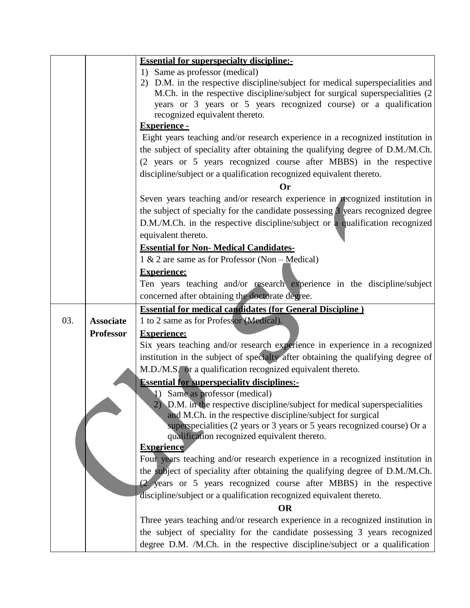|     |                  | <b>Essential for superspecialty discipline:-</b>                                                                                                                                                                                                                                                                                      |
|-----|------------------|---------------------------------------------------------------------------------------------------------------------------------------------------------------------------------------------------------------------------------------------------------------------------------------------------------------------------------------|
|     |                  | 1) Same as professor (medical)<br>2) D.M. in the respective discipline/subject for medical superspecialities and<br>M.Ch. in the respective discipline/subject for surgical superspecialities (2)<br>years or 3 years or 5 years recognized course) or a qualification<br>recognized equivalent thereto.                              |
|     |                  | <b>Experience -</b><br>Eight years teaching and/or research experience in a recognized institution in<br>the subject of speciality after obtaining the qualifying degree of D.M./M.Ch.<br>(2 years or 5 years recognized course after MBBS) in the respective<br>discipline/subject or a qualification recognized equivalent thereto. |
|     |                  | ( )r<br>Seven years teaching and/or research experience in recognized institution in<br>the subject of specialty for the candidate possessing 3 years recognized degree<br>D.M./M.Ch. in the respective discipline/subject or a qualification recognized<br>equivalent thereto.                                                       |
|     |                  | <b>Essential for Non-Medical Candidates-</b>                                                                                                                                                                                                                                                                                          |
|     |                  | 1 & 2 are same as for Professor (Non $-Medical$ )                                                                                                                                                                                                                                                                                     |
|     |                  | <b>Experience:</b><br>Ten years teaching and/or research experience in the discipline/subject<br>concerned after obtaining the doctorate degree.                                                                                                                                                                                      |
|     |                  | <b>Essential for medical candidates (for General Discipline)</b>                                                                                                                                                                                                                                                                      |
| 03. | <b>Associate</b> | 1 to 2 same as for Professor (Medical).                                                                                                                                                                                                                                                                                               |
|     | <b>Professor</b> | <b>Experience:</b>                                                                                                                                                                                                                                                                                                                    |
|     |                  | Six years teaching and/or research experience in experience in a recognized<br>institution in the subject of specialty after obtaining the qualifying degree of                                                                                                                                                                       |
|     |                  | M.D./M.S. or a qualification recognized equivalent thereto.                                                                                                                                                                                                                                                                           |
|     |                  | <b>Essential for superspeciality disciplines:-</b>                                                                                                                                                                                                                                                                                    |
|     |                  | 1) Same as professor (medical)                                                                                                                                                                                                                                                                                                        |
|     |                  | 2) D.M. in the respective discipline/subject for medical superspecialities                                                                                                                                                                                                                                                            |
|     |                  | and M.Ch. in the respective discipline/subject for surgical<br>superspecialities (2 years or 3 years or 5 years recognized course) Or a<br>qualification recognized equivalent thereto.                                                                                                                                               |
|     |                  | <b>Experience</b>                                                                                                                                                                                                                                                                                                                     |
|     |                  | Four years teaching and/or research experience in a recognized institution in<br>the subject of speciality after obtaining the qualifying degree of D.M./M.Ch.                                                                                                                                                                        |
|     |                  | (2 years or 5 years recognized course after MBBS) in the respective                                                                                                                                                                                                                                                                   |
|     |                  | discipline/subject or a qualification recognized equivalent thereto.                                                                                                                                                                                                                                                                  |
|     |                  | <b>OR</b>                                                                                                                                                                                                                                                                                                                             |
|     |                  | Three years teaching and/or research experience in a recognized institution in                                                                                                                                                                                                                                                        |
|     |                  | the subject of speciality for the candidate possessing 3 years recognized                                                                                                                                                                                                                                                             |
|     |                  | degree D.M. /M.Ch. in the respective discipline/subject or a qualification                                                                                                                                                                                                                                                            |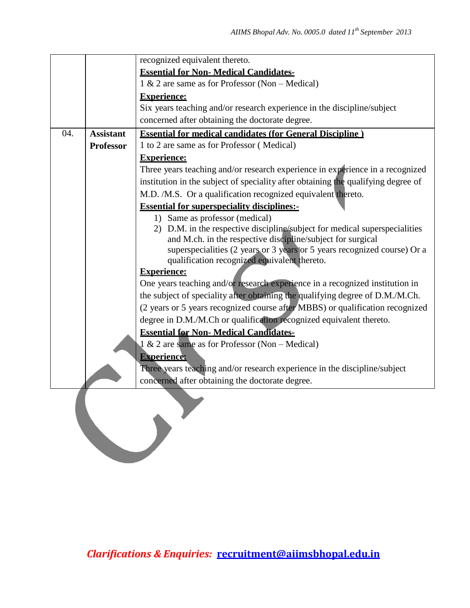|     |                  | recognized equivalent thereto.                                                                                           |
|-----|------------------|--------------------------------------------------------------------------------------------------------------------------|
|     |                  | <b>Essential for Non-Medical Candidates-</b>                                                                             |
|     |                  | $1 \& 2$ are same as for Professor (Non – Medical)                                                                       |
|     |                  | <b>Experience:</b>                                                                                                       |
|     |                  | Six years teaching and/or research experience in the discipline/subject                                                  |
|     |                  | concerned after obtaining the doctorate degree.                                                                          |
| 04. | <b>Assistant</b> | <b>Essential for medical candidates (for General Discipline)</b>                                                         |
|     | <b>Professor</b> | 1 to 2 are same as for Professor (Medical)                                                                               |
|     |                  | <b>Experience:</b>                                                                                                       |
|     |                  | Three years teaching and/or research experience in experience in a recognized                                            |
|     |                  | institution in the subject of speciality after obtaining the qualifying degree of                                        |
|     |                  | M.D. /M.S. Or a qualification recognized equivalent thereto.                                                             |
|     |                  | <b>Essential for superspeciality disciplines:-</b>                                                                       |
|     |                  | 1) Same as professor (medical)                                                                                           |
|     |                  | 2) D.M. in the respective discipline/subject for medical superspecialities                                               |
|     |                  | and M.ch. in the respective discipline/subject for surgical                                                              |
|     |                  | superspecialities (2 years or 3 years or 5 years recognized course) Or a<br>qualification recognized equivalent thereto. |
|     |                  | <b>Experience:</b>                                                                                                       |
|     |                  | One years teaching and/or research experience in a recognized institution in                                             |
|     |                  | the subject of speciality after obtaining the qualifying degree of D.M./M.Ch.                                            |
|     |                  | (2 years or 5 years recognized course after MBBS) or qualification recognized                                            |
|     |                  | degree in D.M./M.Ch or qualification recognized equivalent thereto.                                                      |
|     |                  | <b>Essential for Non- Medical Candidates-</b>                                                                            |
|     |                  | 1 & 2 are same as for Professor (Non – Medical)                                                                          |
|     |                  | <b>Experience:</b>                                                                                                       |
|     |                  | Three years teaching and/or research experience in the discipline/subject                                                |
|     |                  | concerned after obtaining the doctorate degree.                                                                          |
|     |                  |                                                                                                                          |
|     |                  |                                                                                                                          |
|     |                  |                                                                                                                          |
|     |                  |                                                                                                                          |
|     |                  |                                                                                                                          |
|     |                  |                                                                                                                          |
|     |                  |                                                                                                                          |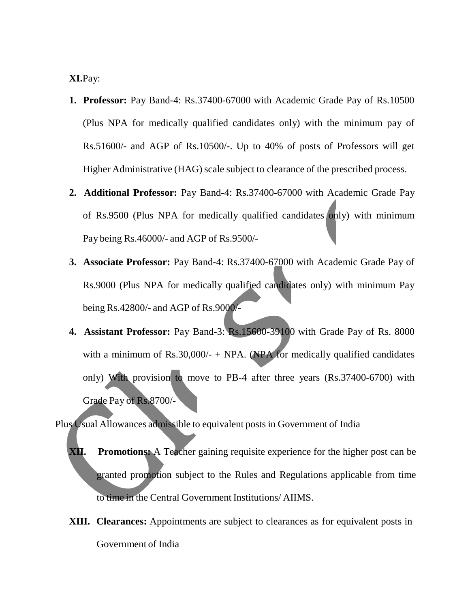**XI.**Pay:

- **1. Professor:** Pay Band-4: Rs.37400-67000 with Academic Grade Pay of Rs.10500 (Plus NPA for medically qualified candidates only) with the minimum pay of Rs.51600/- and AGP of Rs.10500/-. Up to 40% of posts of Professors will get Higher Administrative (HAG) scale subject to clearance of the prescribed process.
- **2. Additional Professor:** Pay Band-4: Rs.37400-67000 with Academic Grade Pay of Rs.9500 (Plus NPA for medically qualified candidates only) with minimum Pay being Rs.46000/- and AGP of Rs.9500/-
- **3. Associate Professor:** Pay Band-4: Rs.37400-67000 with Academic Grade Pay of Rs.9000 (Plus NPA for medically qualified candidates only) with minimum Pay being Rs.42800/- and AGP of Rs.9000/-
- **4. Assistant Professor:** Pay Band-3: Rs.15600-39100 with Grade Pay of Rs. 8000 with a minimum of Rs.30,000/- + NPA. (NPA for medically qualified candidates only) With provision to move to PB-4 after three years (Rs.37400-6700) with Grade Pay of Rs.8700/-

Plus Usual Allowances admissible to equivalent posts in Government of India

- **XII. Promotions:** A Teacher gaining requisite experience for the higher post can be granted promotion subject to the Rules and Regulations applicable from time to time in the Central Government Institutions/ AIIMS.
- **XIII. Clearances:** Appointments are subject to clearances as for equivalent posts in Government of India